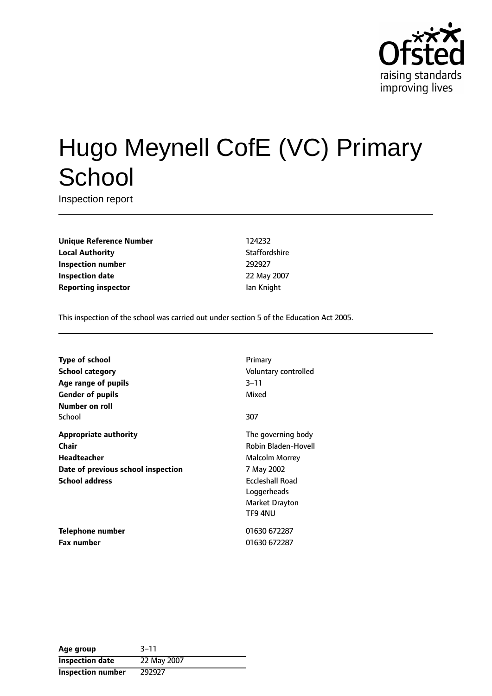

# Hugo Meynell CofE (VC) Primary **School**

Inspection report

**Unique Reference Number** 124232 **Local Authority Contract Contract Contract Authority** Staffordshire **Inspection number** 292927 **Inspection date** 22 May 2007 **Reporting inspector In the UA CONTEX CONTEX CONTEX REPORT OF A CONTEX CONTEX CONTEX CONTEX CONTEX CONTEX CONTEX CONTEX CONTEX CONTEX CONTEX CONTEX CONTEX CONTEX CONTEX CONTEX CONTEX CONTEX CONTEX CONTEX CONTEX CONTEX CO** 

This inspection of the school was carried out under section 5 of the Education Act 2005.

**Type of school** Primary **School category CONSIDER SCHOOL CATEGORY** Voluntary controlled **Age** range of pupils 3-11 **Gender of pupils** Mixed **Number on roll** School 307 **Appropriate authority** The governing body **Chair** Robin Bladen-Hovell **Headteacher** Malcolm Morrey **Date of previous school inspection** 7 May 2002 **School address** Eccleshall Road Loggerheads Market Drayton TF9 4NU **Telephone number** 01630 672287 **Fax number** 01630 672287

| Age group                | $3 - 11$    |
|--------------------------|-------------|
| <b>Inspection date</b>   | 22 May 2007 |
| <b>Inspection number</b> | 292927      |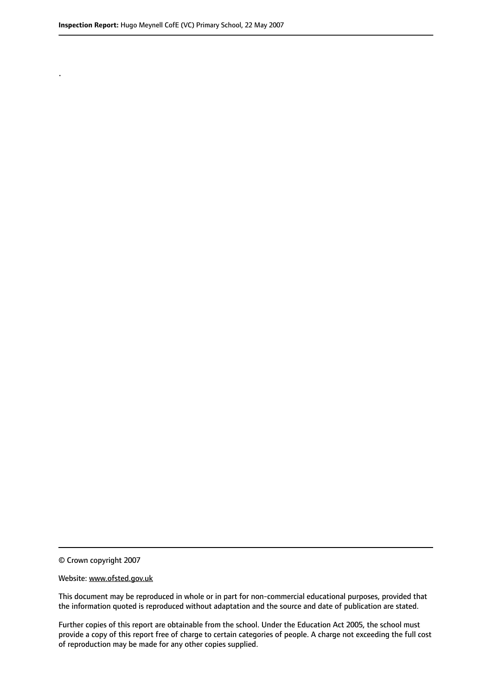.

© Crown copyright 2007

#### Website: www.ofsted.gov.uk

This document may be reproduced in whole or in part for non-commercial educational purposes, provided that the information quoted is reproduced without adaptation and the source and date of publication are stated.

Further copies of this report are obtainable from the school. Under the Education Act 2005, the school must provide a copy of this report free of charge to certain categories of people. A charge not exceeding the full cost of reproduction may be made for any other copies supplied.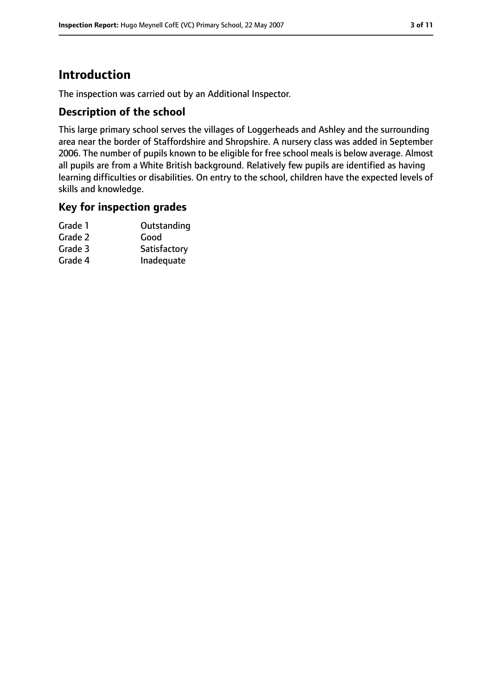# **Introduction**

The inspection was carried out by an Additional Inspector.

#### **Description of the school**

This large primary school serves the villages of Loggerheads and Ashley and the surrounding area near the border of Staffordshire and Shropshire. A nursery class was added in September 2006. The number of pupils known to be eligible for free school meals is below average. Almost all pupils are from a White British background. Relatively few pupils are identified as having learning difficulties or disabilities. On entry to the school, children have the expected levels of skills and knowledge.

#### **Key for inspection grades**

| Grade 1 | Outstanding  |
|---------|--------------|
| Grade 2 | Good         |
| Grade 3 | Satisfactory |
| Grade 4 | Inadequate   |
|         |              |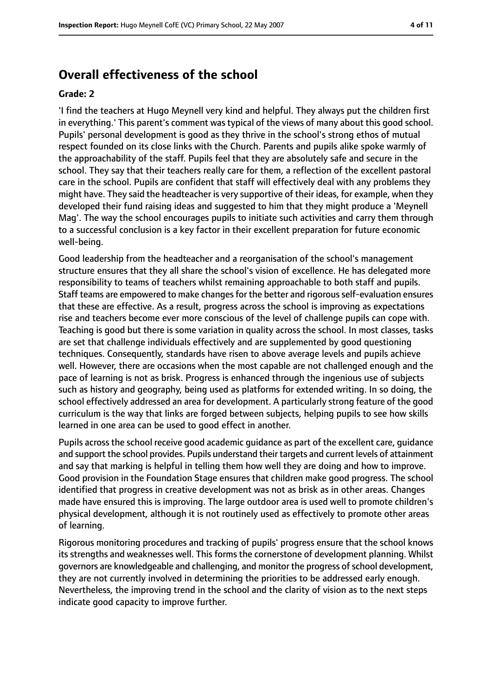# **Overall effectiveness of the school**

#### **Grade: 2**

'I find the teachers at Hugo Meynell very kind and helpful. They always put the children first in everything.' This parent's comment was typical of the views of many about this good school. Pupils' personal development is good as they thrive in the school's strong ethos of mutual respect founded on its close links with the Church. Parents and pupils alike spoke warmly of the approachability of the staff. Pupils feel that they are absolutely safe and secure in the school. They say that their teachers really care for them, a reflection of the excellent pastoral care in the school. Pupils are confident that staff will effectively deal with any problems they might have. They said the headteacher is very supportive of their ideas, for example, when they developed their fund raising ideas and suggested to him that they might produce a 'Meynell Mag'. The way the school encourages pupils to initiate such activities and carry them through to a successful conclusion is a key factor in their excellent preparation for future economic well-being.

Good leadership from the headteacher and a reorganisation of the school's management structure ensures that they all share the school's vision of excellence. He has delegated more responsibility to teams of teachers whilst remaining approachable to both staff and pupils. Staff teams are empowered to make changes for the better and rigorous self-evaluation ensures that these are effective. As a result, progress across the school is improving as expectations rise and teachers become ever more conscious of the level of challenge pupils can cope with. Teaching is good but there is some variation in quality across the school. In most classes, tasks are set that challenge individuals effectively and are supplemented by good questioning techniques. Consequently, standards have risen to above average levels and pupils achieve well. However, there are occasions when the most capable are not challenged enough and the pace of learning is not as brisk. Progress is enhanced through the ingenious use of subjects such as history and geography, being used as platforms for extended writing. In so doing, the school effectively addressed an area for development. A particularly strong feature of the good curriculum is the way that links are forged between subjects, helping pupils to see how skills learned in one area can be used to good effect in another.

Pupils across the school receive good academic guidance as part of the excellent care, guidance and support the school provides. Pupils understand their targets and current levels of attainment and say that marking is helpful in telling them how well they are doing and how to improve. Good provision in the Foundation Stage ensures that children make good progress. The school identified that progress in creative development was not as brisk as in other areas. Changes made have ensured this is improving. The large outdoor area is used well to promote children's physical development, although it is not routinely used as effectively to promote other areas of learning.

Rigorous monitoring procedures and tracking of pupils' progress ensure that the school knows its strengths and weaknesses well. This forms the cornerstone of development planning. Whilst governors are knowledgeable and challenging, and monitor the progress of school development, they are not currently involved in determining the priorities to be addressed early enough. Nevertheless, the improving trend in the school and the clarity of vision as to the next steps indicate good capacity to improve further.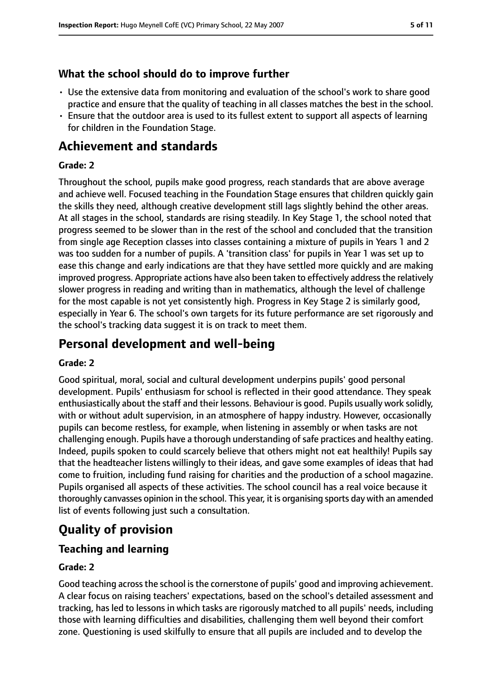#### **What the school should do to improve further**

- Use the extensive data from monitoring and evaluation of the school's work to share good practice and ensure that the quality of teaching in all classes matches the best in the school.
- Ensure that the outdoor area is used to its fullest extent to support all aspects of learning for children in the Foundation Stage.

# **Achievement and standards**

#### **Grade: 2**

Throughout the school, pupils make good progress, reach standards that are above average and achieve well. Focused teaching in the Foundation Stage ensures that children quickly gain the skills they need, although creative development still lags slightly behind the other areas. At all stages in the school, standards are rising steadily. In Key Stage 1, the school noted that progress seemed to be slower than in the rest of the school and concluded that the transition from single age Reception classes into classes containing a mixture of pupils in Years 1 and 2 was too sudden for a number of pupils. A 'transition class' for pupils in Year 1 was set up to ease this change and early indications are that they have settled more quickly and are making improved progress. Appropriate actions have also been taken to effectively addressthe relatively slower progress in reading and writing than in mathematics, although the level of challenge for the most capable is not yet consistently high. Progress in Key Stage 2 is similarly good, especially in Year 6. The school's own targets for its future performance are set rigorously and the school's tracking data suggest it is on track to meet them.

# **Personal development and well-being**

#### **Grade: 2**

Good spiritual, moral, social and cultural development underpins pupils' good personal development. Pupils' enthusiasm for school is reflected in their good attendance. They speak enthusiastically about the staff and their lessons. Behaviour is good. Pupils usually work solidly, with or without adult supervision, in an atmosphere of happy industry. However, occasionally pupils can become restless, for example, when listening in assembly or when tasks are not challenging enough. Pupils have a thorough understanding of safe practices and healthy eating. Indeed, pupils spoken to could scarcely believe that others might not eat healthily! Pupils say that the headteacher listens willingly to their ideas, and gave some examples of ideas that had come to fruition, including fund raising for charities and the production of a school magazine. Pupils organised all aspects of these activities. The school council has a real voice because it thoroughly canvasses opinion in the school. This year, it is organising sports day with an amended list of events following just such a consultation.

# **Quality of provision**

#### **Teaching and learning**

#### **Grade: 2**

Good teaching across the school is the cornerstone of pupils' good and improving achievement. A clear focus on raising teachers' expectations, based on the school's detailed assessment and tracking, has led to lessons in which tasks are rigorously matched to all pupils' needs, including those with learning difficulties and disabilities, challenging them well beyond their comfort zone. Questioning is used skilfully to ensure that all pupils are included and to develop the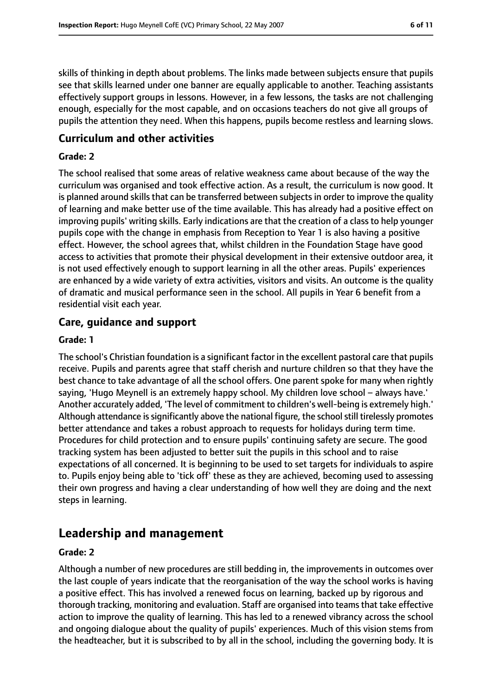skills of thinking in depth about problems. The links made between subjects ensure that pupils see that skills learned under one banner are equally applicable to another. Teaching assistants effectively support groups in lessons. However, in a few lessons, the tasks are not challenging enough, especially for the most capable, and on occasions teachers do not give all groups of pupils the attention they need. When this happens, pupils become restless and learning slows.

#### **Curriculum and other activities**

#### **Grade: 2**

The school realised that some areas of relative weakness came about because of the way the curriculum was organised and took effective action. As a result, the curriculum is now good. It is planned around skills that can be transferred between subjects in order to improve the quality of learning and make better use of the time available. This has already had a positive effect on improving pupils' writing skills. Early indications are that the creation of a class to help younger pupils cope with the change in emphasis from Reception to Year 1 is also having a positive effect. However, the school agrees that, whilst children in the Foundation Stage have good access to activities that promote their physical development in their extensive outdoor area, it is not used effectively enough to support learning in all the other areas. Pupils' experiences are enhanced by a wide variety of extra activities, visitors and visits. An outcome is the quality of dramatic and musical performance seen in the school. All pupils in Year 6 benefit from a residential visit each year.

### **Care, guidance and support**

#### **Grade: 1**

The school's Christian foundation is a significant factor in the excellent pastoral care that pupils receive. Pupils and parents agree that staff cherish and nurture children so that they have the best chance to take advantage of all the school offers. One parent spoke for many when rightly saying, 'Hugo Meynell is an extremely happy school. My children love school - always have.' Another accurately added, 'The level of commitment to children's well-being is extremely high.' Although attendance is significantly above the national figure, the school still tirelessly promotes better attendance and takes a robust approach to requests for holidays during term time. Procedures for child protection and to ensure pupils' continuing safety are secure. The good tracking system has been adjusted to better suit the pupils in this school and to raise expectations of all concerned. It is beginning to be used to set targets for individuals to aspire to. Pupils enjoy being able to 'tick off' these as they are achieved, becoming used to assessing their own progress and having a clear understanding of how well they are doing and the next steps in learning.

# **Leadership and management**

#### **Grade: 2**

Although a number of new procedures are still bedding in, the improvements in outcomes over the last couple of years indicate that the reorganisation of the way the school works is having a positive effect. This has involved a renewed focus on learning, backed up by rigorous and thorough tracking, monitoring and evaluation. Staff are organised into teamsthat take effective action to improve the quality of learning. This has led to a renewed vibrancy across the school and ongoing dialogue about the quality of pupils' experiences. Much of this vision stems from the headteacher, but it is subscribed to by all in the school, including the governing body. It is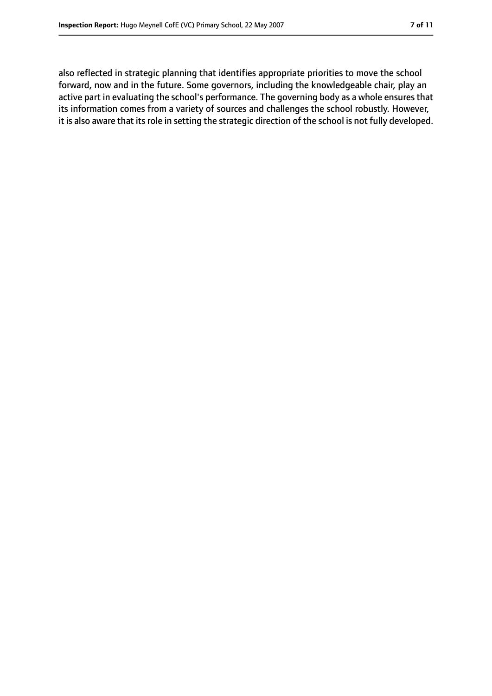also reflected in strategic planning that identifies appropriate priorities to move the school forward, now and in the future. Some governors, including the knowledgeable chair, play an active part in evaluating the school's performance. The governing body as a whole ensures that its information comes from a variety of sources and challenges the school robustly. However, it is also aware that its role in setting the strategic direction of the school is not fully developed.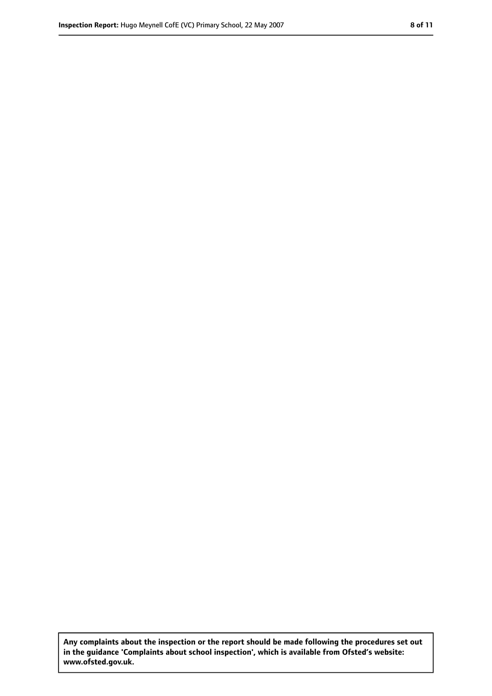**Any complaints about the inspection or the report should be made following the procedures set out in the guidance 'Complaints about school inspection', which is available from Ofsted's website: www.ofsted.gov.uk.**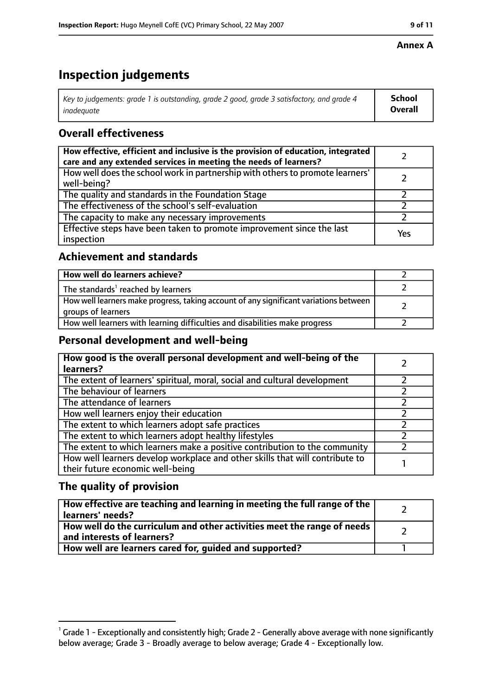#### **Annex A**

# **Inspection judgements**

| Key to judgements: grade 1 is outstanding, grade 2 good, grade 3 satisfactory, and grade 4 | <b>School</b>  |
|--------------------------------------------------------------------------------------------|----------------|
| inadeauate                                                                                 | <b>Overall</b> |

### **Overall effectiveness**

| How effective, efficient and inclusive is the provision of education, integrated<br>care and any extended services in meeting the needs of learners? |     |
|------------------------------------------------------------------------------------------------------------------------------------------------------|-----|
| How well does the school work in partnership with others to promote learners'<br>well-being?                                                         |     |
| The quality and standards in the Foundation Stage                                                                                                    |     |
| The effectiveness of the school's self-evaluation                                                                                                    |     |
| The capacity to make any necessary improvements                                                                                                      |     |
| Effective steps have been taken to promote improvement since the last<br>inspection                                                                  | Yes |

### **Achievement and standards**

| How well do learners achieve?                                                                               |  |
|-------------------------------------------------------------------------------------------------------------|--|
| The standards <sup>1</sup> reached by learners                                                              |  |
| How well learners make progress, taking account of any significant variations between<br>groups of learners |  |
| How well learners with learning difficulties and disabilities make progress                                 |  |

#### **Personal development and well-being**

| How good is the overall personal development and well-being of the<br>learners?                                  |  |
|------------------------------------------------------------------------------------------------------------------|--|
| The extent of learners' spiritual, moral, social and cultural development                                        |  |
| The behaviour of learners                                                                                        |  |
| The attendance of learners                                                                                       |  |
| How well learners enjoy their education                                                                          |  |
| The extent to which learners adopt safe practices                                                                |  |
| The extent to which learners adopt healthy lifestyles                                                            |  |
| The extent to which learners make a positive contribution to the community                                       |  |
| How well learners develop workplace and other skills that will contribute to<br>their future economic well-being |  |

#### **The quality of provision**

| How effective are teaching and learning in meeting the full range of the<br>learners' needs?          |  |
|-------------------------------------------------------------------------------------------------------|--|
| How well do the curriculum and other activities meet the range of needs<br>and interests of learners? |  |
| How well are learners cared for, quided and supported?                                                |  |

 $^1$  Grade 1 - Exceptionally and consistently high; Grade 2 - Generally above average with none significantly below average; Grade 3 - Broadly average to below average; Grade 4 - Exceptionally low.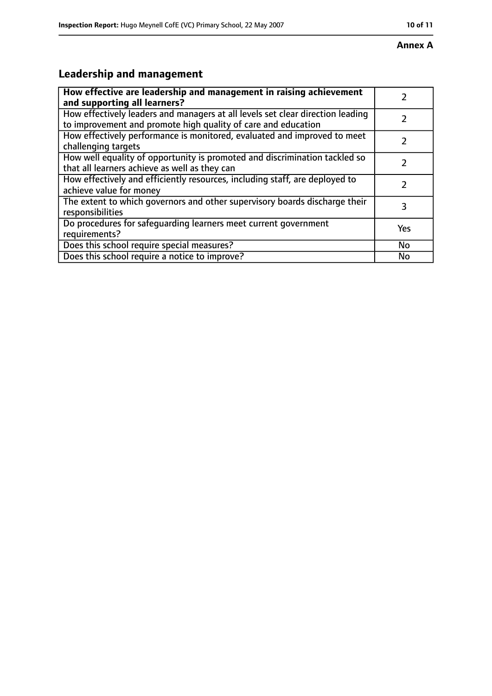#### **Annex A**

# **Leadership and management**

| How effective are leadership and management in raising achievement<br>and supporting all learners?                                              |     |
|-------------------------------------------------------------------------------------------------------------------------------------------------|-----|
| How effectively leaders and managers at all levels set clear direction leading<br>to improvement and promote high quality of care and education |     |
| How effectively performance is monitored, evaluated and improved to meet<br>challenging targets                                                 |     |
| How well equality of opportunity is promoted and discrimination tackled so<br>that all learners achieve as well as they can                     |     |
| How effectively and efficiently resources, including staff, are deployed to<br>achieve value for money                                          | 2   |
| The extent to which governors and other supervisory boards discharge their<br>responsibilities                                                  | 3   |
| Do procedures for safequarding learners meet current government<br>requirements?                                                                | Yes |
| Does this school require special measures?                                                                                                      | No  |
| Does this school require a notice to improve?                                                                                                   | No  |